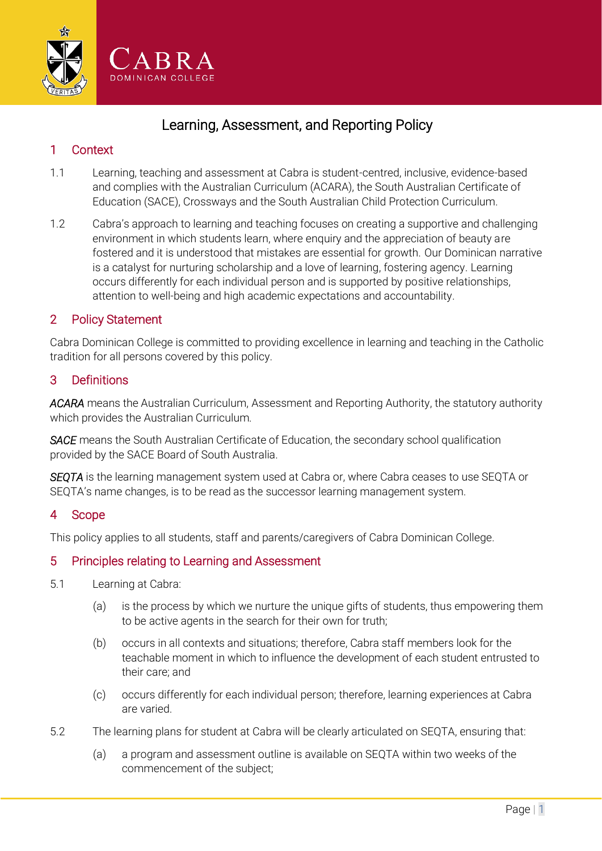

# Learning, Assessment, and Reporting Policy

# 1 Context

- 1.1 Learning, teaching and assessment at Cabra is student-centred, inclusive, evidence-based and complies with the Australian Curriculum (ACARA), the South Australian Certificate of Education (SACE), Crossways and the South Australian Child Protection Curriculum.
- 1.2 Cabra's approach to learning and teaching focuses on creating a supportive and challenging environment in which students learn, where enquiry and the appreciation of beauty are fostered and it is understood that mistakes are essential for growth. Our Dominican narrative is a catalyst for nurturing scholarship and a love of learning, fostering agency. Learning occurs differently for each individual person and is supported by positive relationships, attention to well-being and high academic expectations and accountability.

## 2 Policy Statement

Cabra Dominican College is committed to providing excellence in learning and teaching in the Catholic tradition for all persons covered by this policy.

## 3 Definitions

*ACARA* means the Australian Curriculum, Assessment and Reporting Authority, the statutory authority which provides the Australian Curriculum.

**SACE** means the South Australian Certificate of Education, the secondary school qualification provided by the SACE Board of South Australia.

*SEQTA* is the learning management system used at Cabra or, where Cabra ceases to use SEQTA or SEQTA's name changes, is to be read as the successor learning management system.

## 4 Scope

This policy applies to all students, staff and parents/caregivers of Cabra Dominican College.

## 5 Principles relating to Learning and Assessment

- 5.1 Learning at Cabra:
	- (a) is the process by which we nurture the unique gifts of students, thus empowering them to be active agents in the search for their own for truth;
	- (b) occurs in all contexts and situations; therefore, Cabra staff members look for the teachable moment in which to influence the development of each student entrusted to their care; and
	- (c) occurs differently for each individual person; therefore, learning experiences at Cabra are varied.
- 5.2 The learning plans for student at Cabra will be clearly articulated on SEQTA, ensuring that:
	- (a) a program and assessment outline is available on SEQTA within two weeks of the commencement of the subject;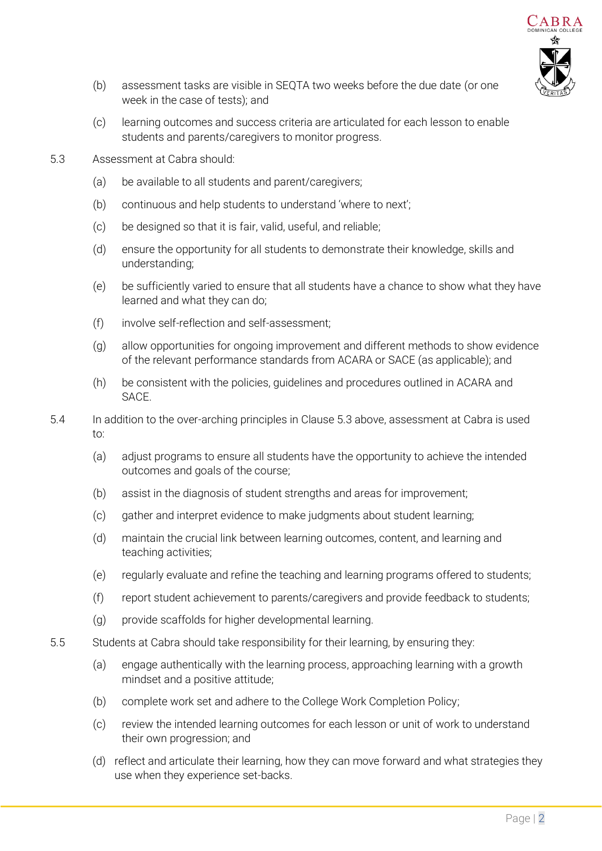

- (b) assessment tasks are visible in SEQTA two weeks before the due date (or one week in the case of tests); and
- (c) learning outcomes and success criteria are articulated for each lesson to enable students and parents/caregivers to monitor progress.
- <span id="page-1-0"></span>5.3 Assessment at Cabra should:
	- (a) be available to all students and parent/caregivers;
	- (b) continuous and help students to understand 'where to next';
	- (c) be designed so that it is fair, valid, useful, and reliable;
	- (d) ensure the opportunity for all students to demonstrate their knowledge, skills and understanding;
	- (e) be sufficiently varied to ensure that all students have a chance to show what they have learned and what they can do;
	- (f) involve self-reflection and self-assessment;
	- (g) allow opportunities for ongoing improvement and different methods to show evidence of the relevant performance standards from ACARA or SACE (as applicable); and
	- (h) be consistent with the policies, guidelines and procedures outlined in ACARA and **SACE**
- 5.4 In addition to the over-arching principles in Clause [5.3 above,](#page-1-0) assessment at Cabra is used to:
	- (a) adjust programs to ensure all students have the opportunity to achieve the intended outcomes and goals of the course;
	- (b) assist in the diagnosis of student strengths and areas for improvement;
	- (c) gather and interpret evidence to make judgments about student learning;
	- (d) maintain the crucial link between learning outcomes, content, and learning and teaching activities;
	- (e) regularly evaluate and refine the teaching and learning programs offered to students;
	- (f) report student achievement to parents/caregivers and provide feedback to students;
	- (g) provide scaffolds for higher developmental learning.
- 5.5 Students at Cabra should take responsibility for their learning, by ensuring they:
	- (a) engage authentically with the learning process, approaching learning with a growth mindset and a positive attitude;
	- (b) complete work set and adhere to the College Work Completion Policy;
	- (c) review the intended learning outcomes for each lesson or unit of work to understand their own progression; and
	- (d) reflect and articulate their learning, how they can move forward and what strategies they use when they experience set-backs.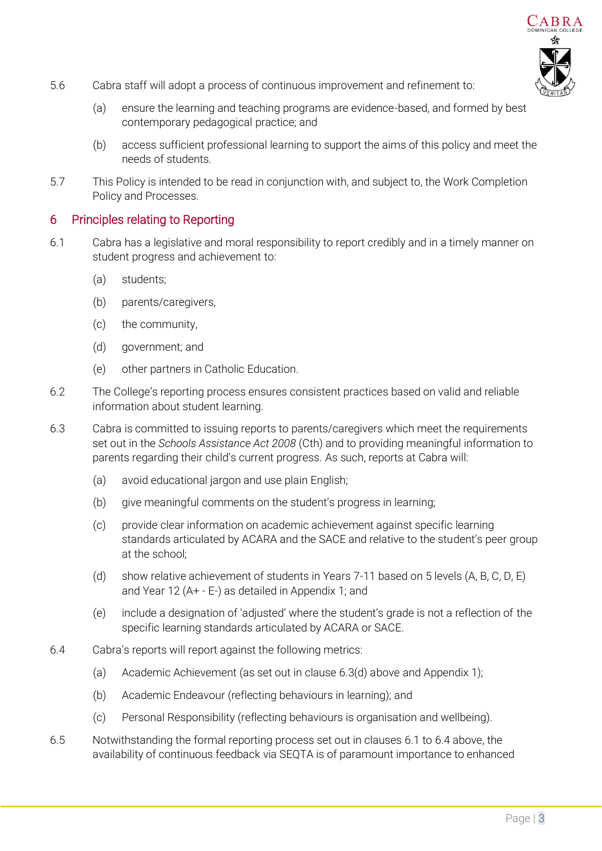

- 5.6 Cabra staff will adopt a process of continuous improvement and refinement to:
	- (a) ensure the learning and teaching programs are evidence-based, and formed by best contemporary pedagogical practice; and
	- (b) access sufficient professional learning to support the aims of this policy and meet the needs of students.
- 5.7 This Policy is intended to be read in conjunction with, and subject to, the Work Completion Policy and Processes.

#### 6 Principles relating to Reporting

- <span id="page-2-1"></span>6.1 Cabra has a legislative and moral responsibility to report credibly and in a timely manner on student progress and achievement to:
	- (a) students;
	- (b) parents/caregivers,
	- (c) the community,
	- (d) government; and
	- (e) other partners in Catholic Education.
- 6.2 The College's reporting process ensures consistent practices based on valid and reliable information about student learning.
- 6.3 Cabra is committed to issuing reports to parents/caregivers which meet the requirements set out in the *Schools Assistance Act 2008* (Cth) and to providing meaningful information to parents regarding their child's current progress. As such, reports at Cabra will:
	- (a) avoid educational jargon and use plain English;
	- (b) give meaningful comments on the student's progress in learning;
	- (c) provide clear information on academic achievement against specific learning standards articulated by ACARA and the SACE and relative to the student's peer group at the school;
	- (d) show relative achievement of students in Years 7-11 based on 5 levels (A, B, C, D, E) and Year 12 (A+ - E-) as detailed in Appendix 1; and
	- (e) include a designation of 'adjusted' where the student's grade is not a reflection of the specific learning standards articulated by ACARA or SACE.
- <span id="page-2-2"></span><span id="page-2-0"></span>6.4 Cabra's reports will report against the following metrics:
	- (a) Academic Achievement (as set out in clause [6.3\(d\) above](#page-2-0) and Appendix 1);
	- (b) Academic Endeavour (reflecting behaviours in learning); and
	- (c) Personal Responsibility (reflecting behaviours is organisation and wellbeing).
- 6.5 Notwithstanding the formal reporting process set out in clauses [6.1](#page-2-1) to [6.4 above,](#page-2-2) the availability of continuous feedback via SEQTA is of paramount importance to enhanced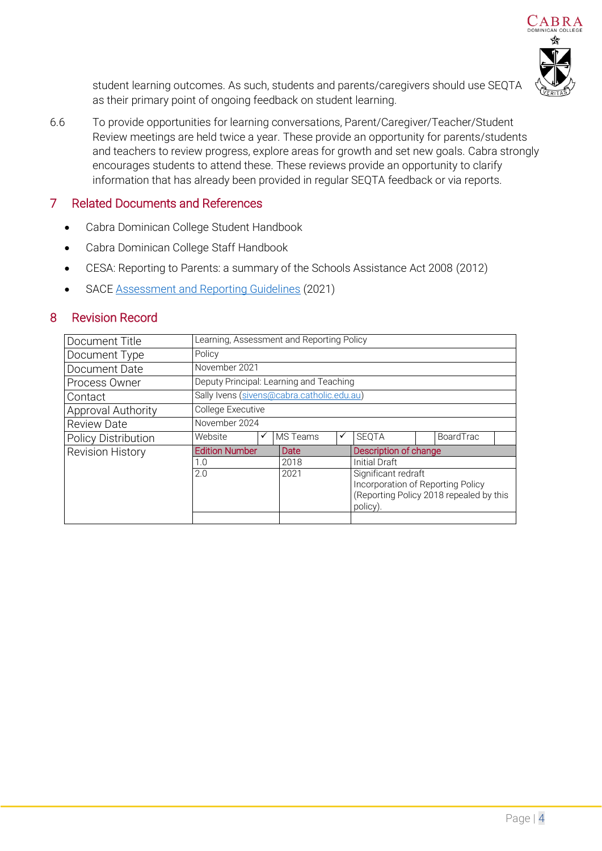

student learning outcomes. As such, students and parents/caregivers should use SEQTA as their primary point of ongoing feedback on student learning.

6.6 To provide opportunities for learning conversations, Parent/Caregiver/Teacher/Student Review meetings are held twice a year. These provide an opportunity for parents/students and teachers to review progress, explore areas for growth and set new goals. Cabra strongly encourages students to attend these. These reviews provide an opportunity to clarify information that has already been provided in regular SEQTA feedback or via reports.

#### 7 Related Documents and References

- Cabra Dominican College Student Handbook
- Cabra Dominican College Staff Handbook
- CESA: Reporting to Parents: a summary of the Schools Assistance Act 2008 (2012)
- SAC[E Assessment and Reporting Guidelines](https://www.sace.sa.edu.au/documents/652891/828ee99d-ff70-4e86-b06a-12267edab2a9) (2021)

#### 8 Revision Record

| Document Title             | Learning, Assessment and Reporting Policy  |  |          |   |                                                                                                                 |  |                  |  |
|----------------------------|--------------------------------------------|--|----------|---|-----------------------------------------------------------------------------------------------------------------|--|------------------|--|
| Document Type              | Policy                                     |  |          |   |                                                                                                                 |  |                  |  |
| Document Date              | November 2021                              |  |          |   |                                                                                                                 |  |                  |  |
| Process Owner              | Deputy Principal: Learning and Teaching    |  |          |   |                                                                                                                 |  |                  |  |
| Contact                    | Sally Ivens (sivens@cabra.catholic.edu.au) |  |          |   |                                                                                                                 |  |                  |  |
| <b>Approval Authority</b>  | College Executive                          |  |          |   |                                                                                                                 |  |                  |  |
| <b>Review Date</b>         | November 2024                              |  |          |   |                                                                                                                 |  |                  |  |
| <b>Policy Distribution</b> | Website                                    |  | MS Teams | ✓ | <b>SEQTA</b>                                                                                                    |  | <b>BoardTrac</b> |  |
| <b>Revision History</b>    | <b>Edition Number</b><br>1.0               |  | Date     |   | Description of change                                                                                           |  |                  |  |
|                            |                                            |  | 2018     |   | Initial Draft                                                                                                   |  |                  |  |
|                            | 2.0                                        |  | 2021     |   | Significant redraft<br>Incorporation of Reporting Policy<br>(Reporting Policy 2018 repealed by this<br>policy). |  |                  |  |
|                            |                                            |  |          |   |                                                                                                                 |  |                  |  |